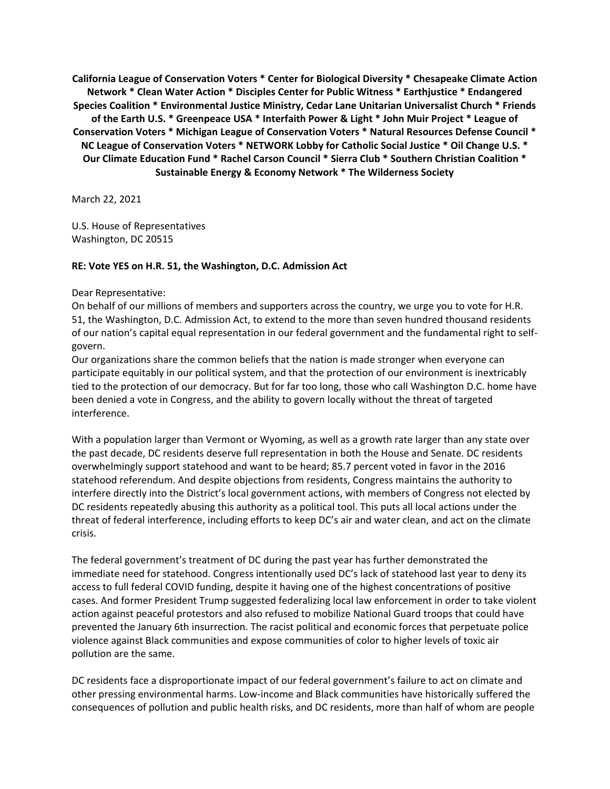**California League of Conservation Voters \* Center for Biological Diversity \* Chesapeake Climate Action Network \* Clean Water Action \* Disciples Center for Public Witness \* Earthjustice \* Endangered Species Coalition \* Environmental Justice Ministry, Cedar Lane Unitarian Universalist Church \* Friends of the Earth U.S. \* Greenpeace USA \* Interfaith Power & Light \* John Muir Project \* League of Conservation Voters \* Michigan League of Conservation Voters \* Natural Resources Defense Council \* NC League of Conservation Voters \* NETWORK Lobby for Catholic Social Justice \* Oil Change U.S. \* Our Climate Education Fund \* Rachel Carson Council \* Sierra Club \* Southern Christian Coalition \* Sustainable Energy & Economy Network \* The Wilderness Society**

March 22, 2021

U.S. House of Representatives Washington, DC 20515

## **RE: Vote YES on H.R. 51, the Washington, D.C. Admission Act**

## Dear Representative:

On behalf of our millions of members and supporters across the country, we urge you to vote for H.R. 51, the Washington, D.C. Admission Act, to extend to the more than seven hundred thousand residents of our nation's capital equal representation in our federal government and the fundamental right to selfgovern.

Our organizations share the common beliefs that the nation is made stronger when everyone can participate equitably in our political system, and that the protection of our environment is inextricably tied to the protection of our democracy. But for far too long, those who call Washington D.C. home have been denied a vote in Congress, and the ability to govern locally without the threat of targeted interference.

With a population larger than Vermont or Wyoming, as well as a growth rate larger than any state over the past decade, DC residents deserve full representation in both the House and Senate. DC residents overwhelmingly support statehood and want to be heard; 85.7 percent voted in favor in the 2016 statehood referendum. And despite objections from residents, Congress maintains the authority to interfere directly into the District's local government actions, with members of Congress not elected by DC residents repeatedly abusing this authority as a political tool. This puts all local actions under the threat of federal interference, including efforts to keep DC's air and water clean, and act on the climate crisis.

The federal government's treatment of DC during the past year has further demonstrated the immediate need for statehood. Congress intentionally used DC's lack of statehood last year to deny its access to full federal COVID funding, despite it having one of the highest concentrations of positive cases. And former President Trump suggested federalizing local law enforcement in order to take violent action against peaceful protestors and also refused to mobilize National Guard troops that could have prevented the January 6th insurrection. The racist political and economic forces that perpetuate police violence against Black communities and expose communities of color to higher levels of toxic air pollution are the same.

DC residents face a disproportionate impact of our federal government's failure to act on climate and other pressing environmental harms. Low-income and Black communities have historically suffered the consequences of pollution and public health risks, and DC residents, more than half of whom are people